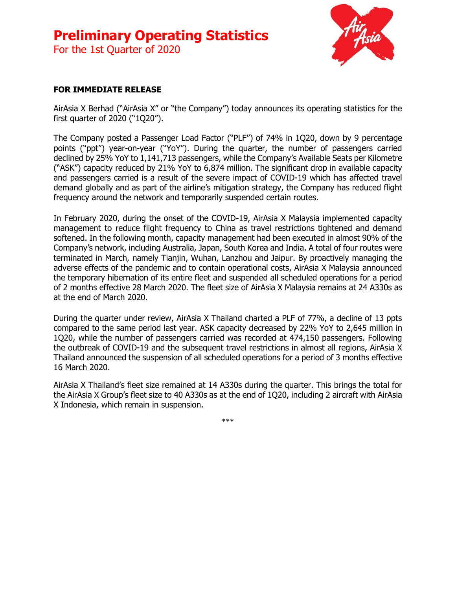# **Preliminary Operating Statistics**

For the 1st Quarter of 2020



## **FOR IMMEDIATE RELEASE**

AirAsia X Berhad ("AirAsia X" or "the Company") today announces its operating statistics for the first quarter of 2020 ("1Q20").

The Company posted a Passenger Load Factor ("PLF") of 74% in 1Q20, down by 9 percentage points ("ppt") year-on-year ("YoY"). During the quarter, the number of passengers carried declined by 25% YoY to 1,141,713 passengers, while the Company's Available Seats per Kilometre ("ASK") capacity reduced by 21% YoY to 6,874 million. The significant drop in available capacity and passengers carried is a result of the severe impact of COVID-19 which has affected travel demand globally and as part of the airline's mitigation strategy, the Company has reduced flight frequency around the network and temporarily suspended certain routes.

In February 2020, during the onset of the COVID-19, AirAsia X Malaysia implemented capacity management to reduce flight frequency to China as travel restrictions tightened and demand softened. In the following month, capacity management had been executed in almost 90% of the Company's network, including Australia, Japan, South Korea and India. A total of four routes were terminated in March, namely Tianjin, Wuhan, Lanzhou and Jaipur. By proactively managing the adverse effects of the pandemic and to contain operational costs, AirAsia X Malaysia announced the temporary hibernation of its entire fleet and suspended all scheduled operations for a period of 2 months effective 28 March 2020. The fleet size of AirAsia X Malaysia remains at 24 A330s as at the end of March 2020.

During the quarter under review, AirAsia X Thailand charted a PLF of 77%, a decline of 13 ppts compared to the same period last year. ASK capacity decreased by 22% YoY to 2,645 million in 1Q20, while the number of passengers carried was recorded at 474,150 passengers. Following the outbreak of COVID-19 and the subsequent travel restrictions in almost all regions, AirAsia X Thailand announced the suspension of all scheduled operations for a period of 3 months effective 16 March 2020.

AirAsia X Thailand's fleet size remained at 14 A330s during the quarter. This brings the total for the AirAsia X Group's fleet size to 40 A330s as at the end of 1Q20, including 2 aircraft with AirAsia X Indonesia, which remain in suspension.

\*\*\*